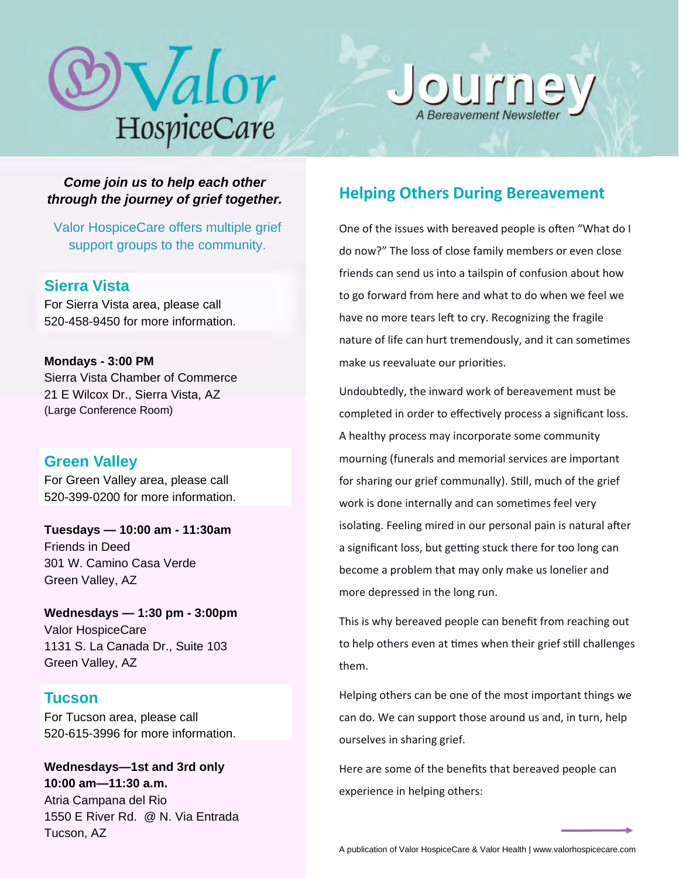# Valor HospiceCare



*Come join us to help each other through the journey of grief together.* 

Valor HospiceCare offers multiple grief support groups to the community.

# **Sierra Vista**

For Sierra Vista area, please call 520-458-9450 for more information.

**Mondays - 3:00 PM**  Sierra Vista Chamber of Commerce 21 E Wilcox Dr., Sierra Vista, AZ (Large Conference Room)

# **Green Valley**

For Green Valley area, please call 520-399-0200 for more information.

**Tuesdays — 10:00 am - 11:30am**  Friends in Deed 301 W. Camino Casa Verde Green Valley, AZ

**Wednesdays — 1:30 pm - 3:00pm**  Valor HospiceCare 1131 S. La Canada Dr., Suite 103 Green Valley, AZ

# **Tucson**

For Tucson area, please call 520-615-3996 for more information.

**Wednesdays—1st and 3rd only 10:00 am—11:30 a.m.**  Atria Campana del Rio 1550 E River Rd. @ N. Via Entrada Tucson, AZ

# **Helping Others During Bereavement**

One of the issues with bereaved people is often "What do I do now?" The loss of close family members or even close friends can send us into a tailspin of confusion about how to go forward from here and what to do when we feel we have no more tears left to cry. Recognizing the fragile nature of life can hurt tremendously, and it can sometimes make us reevaluate our priorities.

Undoubtedly, the inward work of bereavement must be completed in order to effectively process a significant loss. A healthy process may incorporate some community mourning (funerals and memorial services are important for sharing our grief communally). Still, much of the grief work is done internally and can sometimes feel very isolating. Feeling mired in our personal pain is natural after a significant loss, but getting stuck there for too long can become a problem that may only make us lonelier and more depressed in the long run.

This is why bereaved people can benefit from reaching out to help others even at times when their grief still challenges them.

Helping others can be one of the most important things we can do. We can support those around us and, in turn, help ourselves in sharing grief.

Here are some of the benefits that bereaved people can experience in helping others:

A publication of Valor HospiceCare & Valor Health | www.valorhospicecare.com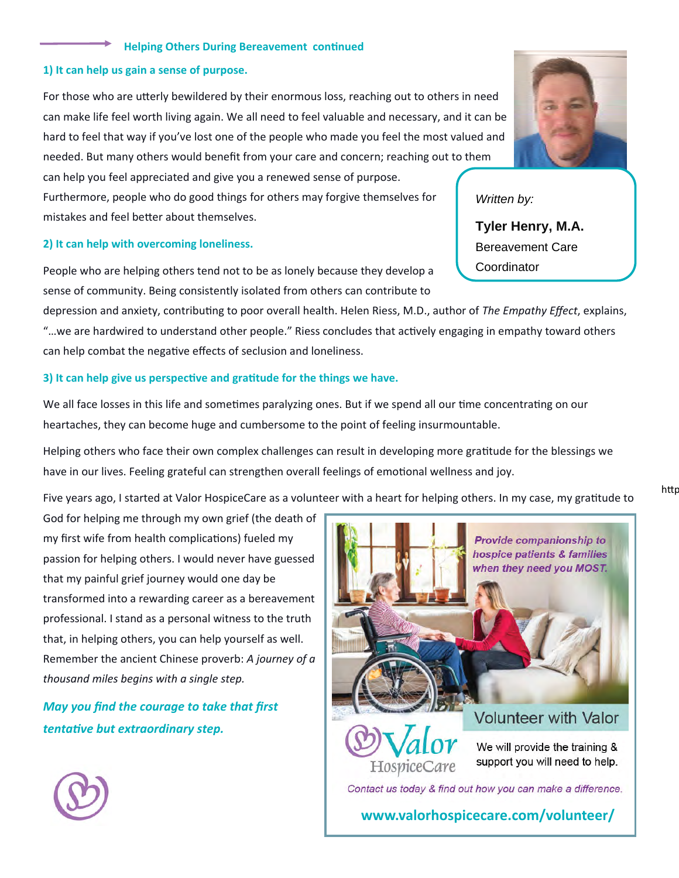#### **Helping Others During Bereavement continued**

#### **1) It can help us gain a sense of purpose.**

For those who are utterly bewildered by their enormous loss, reaching out to others in need can make life feel worth living again. We all need to feel valuable and necessary, and it can be hard to feel that way if you've lost one of the people who made you feel the most valued and needed. But many others would benefit from your care and concern; reaching out to them can help you feel appreciated and give you a renewed sense of purpose.

Furthermore, people who do good things for others may forgive themselves for mistakes and feel better about themselves.

#### **2) It can help with overcoming loneliness.**

People who are helping others tend not to be as lonely because they develop a sense of community. Being consistently isolated from others can contribute to

depression and anxiety, contribuƟng to poor overall health. Helen Riess, M.D., author of *The Empathy Effect*, explains, "...we are hardwired to understand other people." Riess concludes that actively engaging in empathy toward others can help combat the negative effects of seclusion and loneliness.

#### **3) It can help give us perspective and gratitude for the things we have.**

We all face losses in this life and sometimes paralyzing ones. But if we spend all our time concentrating on our heartaches, they can become huge and cumbersome to the point of feeling insurmountable.

Helping others who face their own complex challenges can result in developing more gratitude for the blessings we have in our lives. Feeling grateful can strengthen overall feelings of emotional wellness and joy.

Five years ago, I started at Valor HospiceCare as a volunteer with a heart for helping others. In my case, my gratitude to

God for helping me through my own grief (the death of my first wife from health complications) fueled my passion for helping others. I would never have guessed that my painful grief journey would one day be transformed into a rewarding career as a bereavement professional. I stand as a personal witness to the truth that, in helping others, you can help yourself as well. Remember the ancient Chinese proverb: *A journey of a thousand miles begins with a single step.* 

*May you find the courage to take that first tentaƟve but extraordinary step.* 



#### *Written by:*

**Tyler Henry, M.A.** Bereavement Care **Coordinator** 

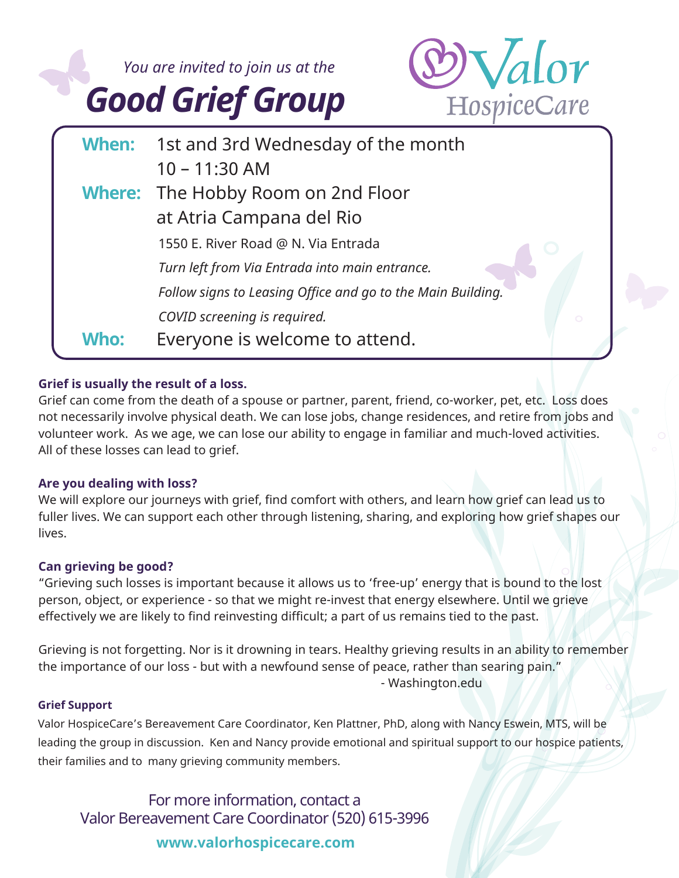

## **Grief is usually the result of a loss.**

Grief can come from the death of a spouse or partner, parent, friend, co-worker, pet, etc. Loss does not necessarily involve physical death. We can lose jobs, change residences, and retire from jobs and volunteer work. As we age, we can lose our ability to engage in familiar and much-loved activities. All of these losses can lead to grief.

## **Are you dealing with loss?**

We will explore our journeys with grief, find comfort with others, and learn how grief can lead us to fuller lives. We can support each other through listening, sharing, and exploring how grief shapes our lives.

## **Can grieving be good?**

"Grieving such losses is important because it allows us to 'free-up' energy that is bound to the lost person, object, or experience - so that we might re-invest that energy elsewhere. Until we grieve effectively we are likely to find reinvesting difficult; a part of us remains tied to the past.

Grieving is not forgetting. Nor is it drowning in tears. Healthy grieving results in an ability to remember the importance of our loss - but with a newfound sense of peace, rather than searing pain." - Washington.edu

## **Grief Support**

Valor HospiceCare's Bereavement Care Coordinator, Ken Plattner, PhD, along with Nancy Eswein, MTS, will be leading the group in discussion. Ken and Nancy provide emotional and spiritual support to our hospice patients, their families and to many grieving community members.

For more information, contact a Valor Bereavement Care Coordinator (520) 615-3996

## **www.valorhospicecare.com**